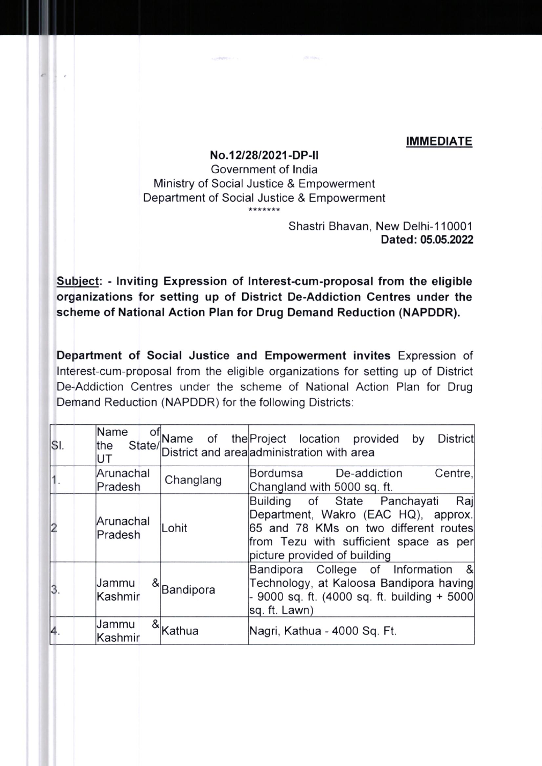## IMMEDIATE

## No.1212812021-DP-ll

Government of lndia Ministry of Social Justice & Empowerment Department of Social Justice & Empowerment \*\*\*\*\*\*\*

> Shastri Bhavan, New Delhi-11000'l Dated: 05.05.2022

Subiect: - lnviting Expression of lnterest-cum-proposal from the eligible organizations for setting up of District De-Addiction Centres under the scheme of National Action Plan for Drug Demand Reduction (NAPDDR).

Department of Social Justice and Empowerment invites Expression of lnterest-cum-proposal from the eligible organizations for setting up of District De-Addiction Centres under the scheme of National Action Plan for Drug Demand Reduction (NAPDDR) for the following Districts:

| SI. | Name<br>of<br>the<br>UT |            | Name of the Project location provided<br><b>District</b><br>by<br>State/District and area administration with area                                                                            |
|-----|-------------------------|------------|-----------------------------------------------------------------------------------------------------------------------------------------------------------------------------------------------|
|     | Arunachal<br>Pradesh    | Changlang  | Centre,<br>Bordumsa De-addiction<br>Changland with 5000 sq. ft.                                                                                                                               |
|     | Arunachal<br>Pradesh    | Lohit      | Building of State Panchayati<br>Raj<br>Department, Wakro (EAC HQ), approx.<br>65 and 78 KMs on two different routes<br>from Tezu with sufficient space as per<br>picture provided of building |
| 3.  | Jammu<br>Kashmir        | &Bandipora | Bandipora College of Information<br>- &<br>Technology, at Kaloosa Bandipora having<br>- 9000 sq. ft. (4000 sq. ft. building + 5000<br>sq. ft. Lawn)                                           |
| 4.  | Jammu<br>Kashmir        | Kathua     | Nagri, Kathua - 4000 Sq. Ft.                                                                                                                                                                  |